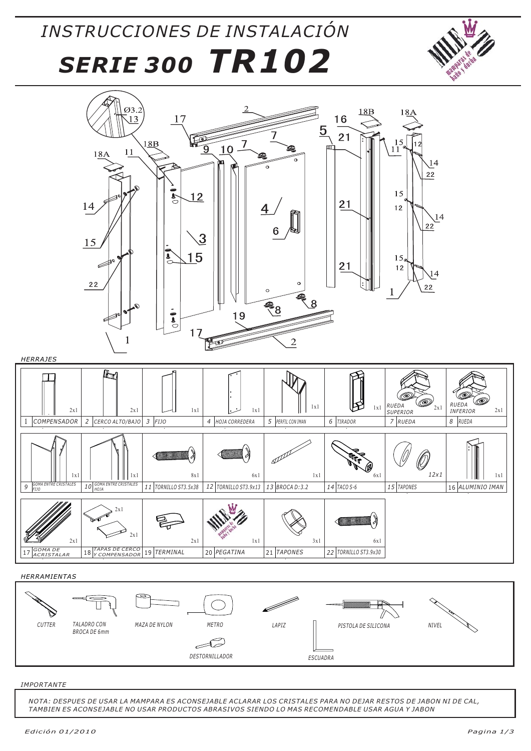## *INSTRUCCIONES DE INSTALACIÓN SERIE 300 TR102*





*HERRAMIENTAS*



#### *IMPORTANTE*

*NOTA: DESPUES DE USAR LA MAMPARA ES ACONSEJABLE ACLARAR LOS CRISTALES PARA NO DEJAR RESTOS DE JABON NI DE CAL, TAMBIEN ES ACONSEJABLE NO USAR PRODUCTOS ABRASIVOS SIENDO LO MAS RECOMENDABLE USAR AGUA Y JABON*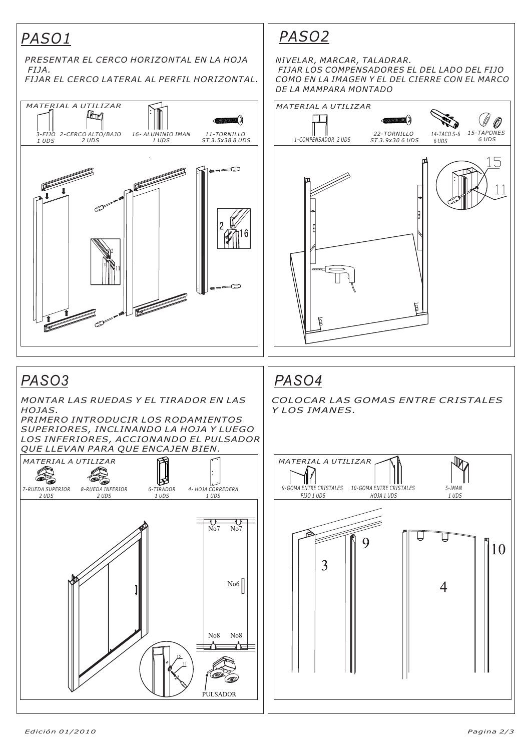### *PASO1*



*PASO2*